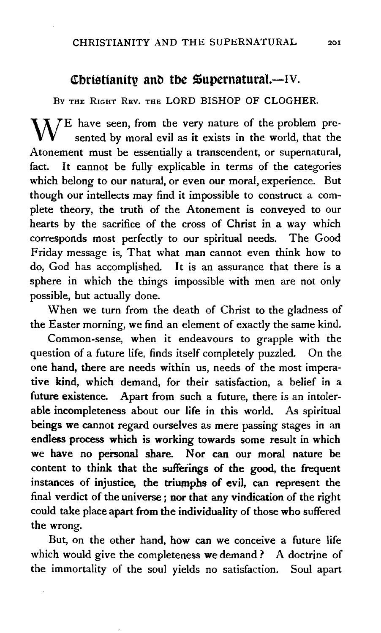## Christianity and the  $\mathfrak{su}$  pernatural.-IV.

BY THE RIGHT REV. THE LORD BISHOP OF CLOGHER.

 $\mathbf{M}/\mathbf{E}$  have seen, from the very nature of the problem presented by moral evil as it exists in the world, that the Atonement must be essentially a transcendent, or supernatural, fact. It cannot be fully explicable in terms of the categories which belong to our natural, or even our moral, experience. But though our intellects may find it impossible to construct a complete theory, the truth of the Atonement is conveyed to our hearts by the sacrifice of the cross of Christ in a way which corresponds most perfectly to our spiritual needs. The Good Friday message is, That what man cannot even think how to do, God has accomplished. It is an assurance that there is a sphere in which the things impossible with men are not only possible, but actually done.

When we turn from the death of Christ to the gladness of the Easter morning, we find an element of exactly the same kind.

Common-sense, when it endeavours to grapple with the question of a future life, finds itself completely puzzled. On the one hand, there are needs within us, needs of the most imperative kind, which demand, for their satisfaction, a belief in a future existence. Apart from such a future, there is an intolerable incompleteness about our life in this world. As spiritual beings we cannot regard ourselves as mere passing stages in an endless process which is working towards some result in which we have no personal share. Nor can our moral nature be content to think that the sufferings of the good, the frequent instances of injustice, the triumphs of evil, can represent the final verdict of the universe ; nor that any vindication of the right could take place apart from the individuality of those who suffered the wrong.

But, on the other hand, how can we conceive a future life which would give the completeness we demand? A doctrine of the immortality of the soul yields no satisfaction. Soul apart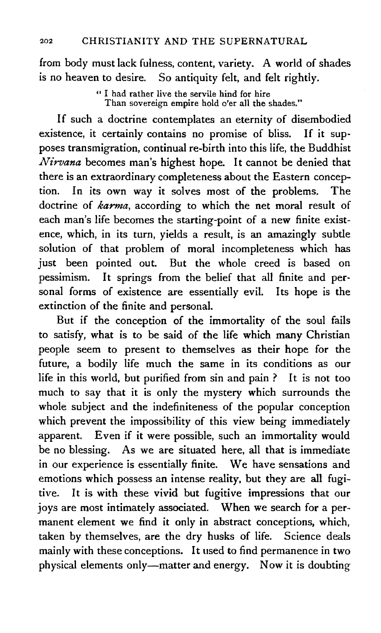from body must lack fulness, content, variety. A world of shades is no heaven to desire. So antiquity felt, and felt rightly.

> " I had rather live the servile hind for hire Than sovereign empire hold o'er all the shades."

If such a doctrine contemplates an eternity of disembodied existence, it certainly contains no promise of bliss. If it supposes transmigration, continual re-birth into this life, the Buddhist *Nirvana* becomes man's highest hope. It cannot be denied that there is an extraordinary completeness about the Eastern conception. In its own way it solves most of the problems. The doctrine of *karma,* according to which the net moral result of each man's life becomes the starting-point of a new finite existence, which, in its turn, yields a result, is an amazingly subtle solution of that problem of moral incompleteness which has just been pointed out. But the whole creed is based on pessimism. It springs from the belief that all finite and personal forms of existence are essentially evil. Its hope is the extinction of the finite and personal.

But if the conception of the immortality of the soul fails to satisfy, what is to be said of the life which many Christian people seem to present to themselves as their hope for the future, a bodily life much the same in its conditions as our life in this world, but purified from sin and pain ? It is not too much to say that it is only the mystery which surrounds the whole subject and the indefiniteness of the popular conception which prevent the impossibility of this view being immediately apparent. Even if it were possible, such an immortality would be no blessing. As we are situated here, all that is immediate in our experience is essentially finite. We have sensations and emotions which possess an intense reality, but they are all fugitive. It is with these vivid but fugitive impressions that our joys are most intimately associated. When we search for a permanent element we find it only in abstract conceptions, which, taken by themselves, are the dry husks of life. Science deals mainly with these conceptions. It used to find permanence in two physical elements only—matter and energy. Now it is doubting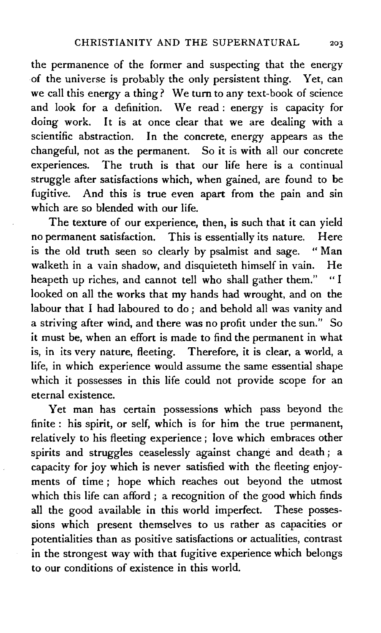the permanence of the former and suspecting that the energy of the universe is probably the only persistent thing. Yet, can we call this energy a thing? We tum to any text-book of science and look for a definition. We read : energy is capacity for doing work. It is at once clear that we are dealing with a scientific abstraction. In the concrete, energy appears as the changeful, not as the permanent. So it is with all our concrete experiences. The truth is that our life here is a continual struggle after satisfactions which, when gained, are found to be fugitive. And this is true even apart from the pain and sin which are so blended with our life.

The texture of our experience, then, is such that it can yield no permanent satisfaction. This is essentially its nature. Here is the old truth seen so clearly by psalmist and sage. " Man walketh in a vain shadow, and disquieteth himself in vain. He heapeth up riches, and cannot tell who shall gather them." "I looked on all the works that my hands had wrought, and on the labour that I had laboured to do ; and behold all was vanity and a striving after wind, and there was no profit under the sun." So it must be, when an effort is made to find the permanent in what is, in its very nature, fleeting. Therefore, it is clear, a world, a life, in which experience would assume the same essential shape which it possesses in this life could not provide scope for an eternal existence.

Yet man has certain possessions which pass beyond the finite : his spirit, or self, which is for him the true permanent, relatively to his fleeting experience ; love which embraces other spirits and struggles ceaselessly against change and death ; a capacity for joy which is never satisfied with the fleeting enjoyments of time ; hope which reaches out beyond the utmost which this life can afford ; a recognition of the good which finds all the good available in this world imperfect. These possessions which present themselves to us rather as capacities or potentialities than as positive satisfactions or actualities, contrast in the strongest way with that fugitive experience which belongs to our conditions of existence in this world.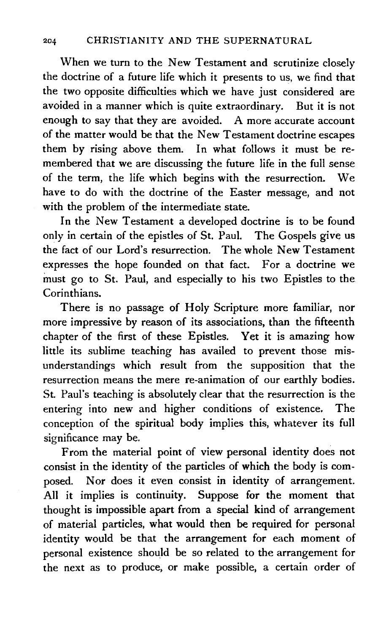When we turn to the New Testament and scrutinize closely the doctrine of a future life which it presents to us, we find that the two opposite difficulties which we have just considered are avoided in a manner which is quite extraordinary. But it is not enough to say that they are avoided. A more accurate account of the matter would be that the New Testament doctrine escapes them by rising above them. In what follows it must be remembered that we are discussing the future life in the full sense of the term, the life which begins with the resurrection. We have to do with the doctrine of the Easter message, and not with the problem of the intermediate state.

In the New Testament a developed doctrine is to be found only in certain of the epistles of St. Paul. The Gospels give us the fact of our Lord's resurrection. The whole New Testament expresses the hope founded on that fact. For a doctrine we must go to St. Paul, and especially to his two Epistles to the Corinthians.

There is no passage of Holy Scripture more familiar, nor more impressive by reason of its associations, than the fifteenth chapter of the first of these Epistles. Yet it is amazing how little its sublime teaching has availed to prevent those misunderstandings which result from the supposition that the resurrection means the mere re-animation of our earthly bodies. St. Paul's teaching is absolutely clear that the resurrection is the entering into new and higher conditions of existence. The conception of the spiritual body implies this, whatever its full significance may be.

From the material point of view personal identity does not consist in the identity of the particles of which the body is composed. Nor does it even consist in identity of arrangement. All it implies is continuity. Suppose for the moment that thought is impossible apart from a special kind of arrangement of material particles, what would then be required for personal identity would be that the arrangement for each moment of personal existence should be so related to the arrangement for the next as to produce, or make possible, a certain order of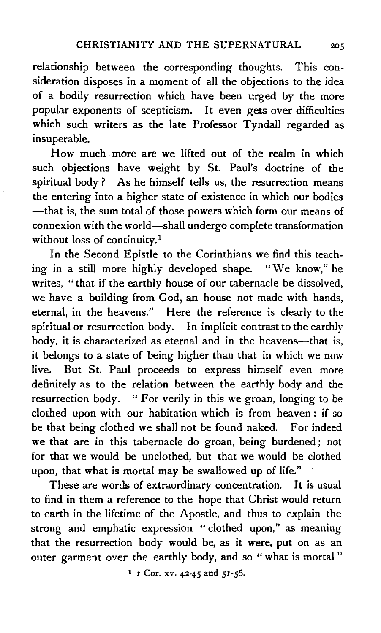relationship between the corresponding thoughts. This consideration disposes in a moment of all the objections to the idea of a bodily resurrection which have been urged by the more popular exponents of scepticism. It even gets over difficulties which such writers as the late Professor Tyndall regarded as insuperable.

How much more are we lifted out of the realm in which such objections have weight by St. Paul's doctrine of the spiritual body ? As he himself tells us, the resurrection means the entering into a higher state of existence in which our bodies -that is, the sum total of those powers which form our means of connexion with the world-shall undergo complete transformation without loss of continuity.<sup>1</sup>

In the Second Epistle to the Corinthians we find this teaching in a still more highly developed shape. "We know," he writes, "that if the earthly house of our tabernacle be dissolved, we have a building from God, an house not made with hands, eternal, in the heavens." Here the reference is clearly to the spiritual or resurrection body. In implicit contrast to the earthly body, it is characterized as eternal and in the heavens-that is, it belongs to a state of being higher than that in which we now live. But St. Paul proceeds to express himself even more definitely as to the relation between the earthly body and the resurrection body. "For verily in this we groan, longing to be clothed upon with our habitation which is from heaven : if so be that being clothed we shall not be found naked. For indeed we that are in this tabernacle do groan, being burdened ; not for that we would be unclothed, but that we would be clothed upon, that what is mortal may be swallowed up of life."

These are words of extraordinary concentration. It is usual to find in them a reference to the hope that Christ would return to earth in the lifetime of the Apostle, and thus to explain the strong and emphatic expression "clothed upon," as meaning that the resurrection body would be, as it were, put on as an outer garment over the earthly body, and so " what is mortal"

 $1$  I Cor. xv. 42-45 and 51-56.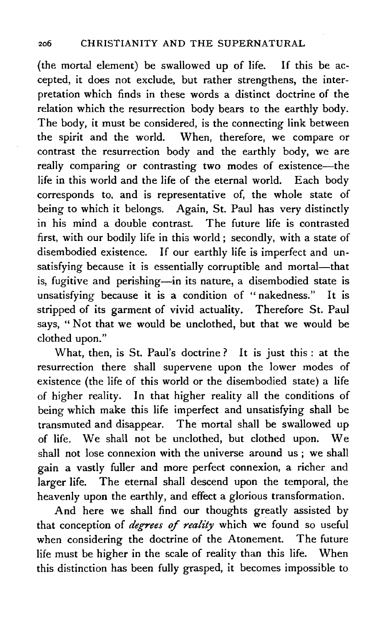(the mortal element) be swallowed up of life. If this be accepted, it does not exclude, but rather strengthens, the interpretation which finds in these words a distinct doctrine of the relation which the resurrection body bears to the earthly body. The body, it must be considered, is the connecting link between the spirit and the world. When, therefore, we compare or contrast the resurrection body and the earthly body, we are really comparing or contrasting two modes of existence-the life in this world and the life of the eternal world. Each body corresponds to, and is representative of, the whole state of being to which it belongs. Again, St. Paul has very distinctly in his mind a double contrast. The future life is contrasted first, with our bodily life in this world ; secondly, with a state of disembodied existence. If our earthly life is imperfect and unsatisfying because it is essentially corruptible and mortal-that is, fugitive and perishing-in its nature, a disembodied state is unsatisfying because it is a condition of "nakedness." It is stripped of its garment of vivid actuality. Therefore St. Paul says, " Not that we would be unclothed, but that we would be clothed upon."

What, then, is St. Paul's doctrine? It is just this : at the resurrection there shall supervene upon the lower modes of existence (the life of this world or the disembodied state) a life of higher reality. In that higher reality all the conditions of being which make this life imperfect and unsatisfying shall be transmuted and disappear. The mortal shall be swallowed up of life. We shall not be unclothed, but clothed upon. We shall not lose connexion with the universe around us ; we shall gain a vastly fuller and more perfect connexion, a richer and larger life. The eternal shall descend upon the temporal, the heavenly upon the earthly, and effect a glorious transformation.

And here we shall find our thoughts greatly assisted by that conception of *degrees of reality* which we found so useful when considering the doctrine of the Atonement. The future life must be higher in the scale of reality than this life. When this distinction has been fully grasped, it becomes impossible to